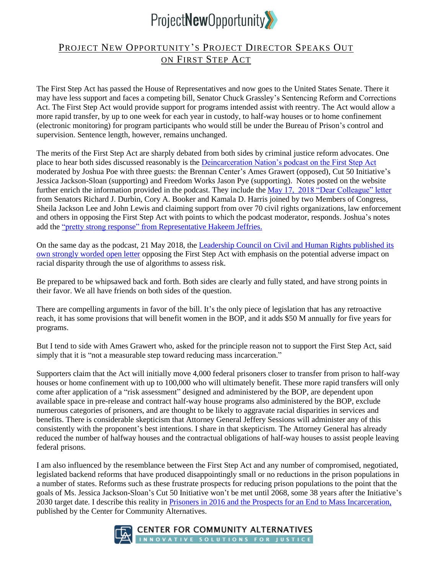

## PROJECT NEW OPPORTUNITY'S PROJECT DIRECTOR SPEAKS OUT ON FIRST STEP ACT

The First Step Act has passed the House of Representatives and now goes to the United States Senate. There it may have less support and faces a competing bill, Senator Chuck Grassley's Sentencing Reform and Corrections Act. The First Step Act would provide support for programs intended assist with reentry. The Act would allow a more rapid transfer, by up to one week for each year in custody, to half-way houses or to home confinement (electronic monitoring) for program participants who would still be under the Bureau of Prison's control and supervision. Sentence length, however, remains unchanged.

The merits of the First Step Act are sharply debated from both sides by criminal justice reform advocates. One place to hear both sides discussed reasonably is the [Deincarceration Nation's podcast on the First Step Act](https://simplecast.com/s/626de776)  moderated by Joshua Poe with three guests: the Brennan Center's Ames Grawert (opposed), Cut 50 Initiative's Jessica Jackson-Sloan (supporting) and Freedom Works Jason Pye (supporting). Notes posted on the website further enrich the information provided in the podcast. They include the [May 17, 2018 "Dear Colleague" letter](https://www.politico.com/f/?id=00000163-6f9d-dbc0-a56b-efdd053a0001) from Senators Richard J. Durbin, Cory A. Booker and Kamala D. Harris joined by two Members of Congress, Sheila Jackson Lee and John Lewis and claiming support from over 70 civil rights organizations, law enforcement and others in opposing the First Step Act with points to which the podcast moderator, responds. Joshua's notes add the "pretty strong response" from [Representative Hakeem Jeffries.](http://thehill.com/regulation/legislation/388394-dem-lawmaker-spars-with-own-party-over-prison-reform)

On the same day as the podcast, 21 May 2018, the [Leadership Council on Civil and Human Rights published](https://civilrights.org/vote-no-first-step-act-2/) its [own strongly worded open letter](https://civilrights.org/vote-no-first-step-act-2/) opposing the First Step Act with emphasis on the potential adverse impact on racial disparity through the use of algorithms to assess risk.

Be prepared to be whipsawed back and forth. Both sides are clearly and fully stated, and have strong points in their favor. We all have friends on both sides of the question.

There are compelling arguments in favor of the bill. It's the only piece of legislation that has any retroactive reach, it has some provisions that will benefit women in the BOP, and it adds \$50 M annually for five years for programs.

But I tend to side with Ames Grawert who, asked for the principle reason not to support the First Step Act, said simply that it is "not a measurable step toward reducing mass incarceration."

Supporters claim that the Act will initially move 4,000 federal prisoners closer to transfer from prison to half-way houses or home confinement with up to 100,000 who will ultimately benefit. These more rapid transfers will only come after application of a "risk assessment" designed and administered by the BOP, are dependent upon available space in pre-release and contract half-way house programs also administered by the BOP, exclude numerous categories of prisoners, and are thought to be likely to aggravate racial disparities in services and benefits. There is considerable skepticism that Attorney General Jeffery Sessions will administer any of this consistently with the proponent's best intentions. I share in that skepticism. The Attorney General has already reduced the number of halfway houses and the contractual obligations of half-way houses to assist people leaving federal prisons.

I am also influenced by the resemblance between the First Step Act and any number of compromised, negotiated, legislated backend reforms that have produced disappointingly small or no reductions in the prison populations in a number of states. Reforms such as these frustrate prospects for reducing prison populations to the point that the goals of Ms. Jessica Jackson-Sloan's Cut 50 Initiative won't be met until 2068, some 38 years after the Initiative's 2030 target date. I describe this reality in [Prisoners in 2016 and the Prospects for an End to Mass Incarceration,](http://www.communityalternatives.org/) published by the Center for Community Alternatives.